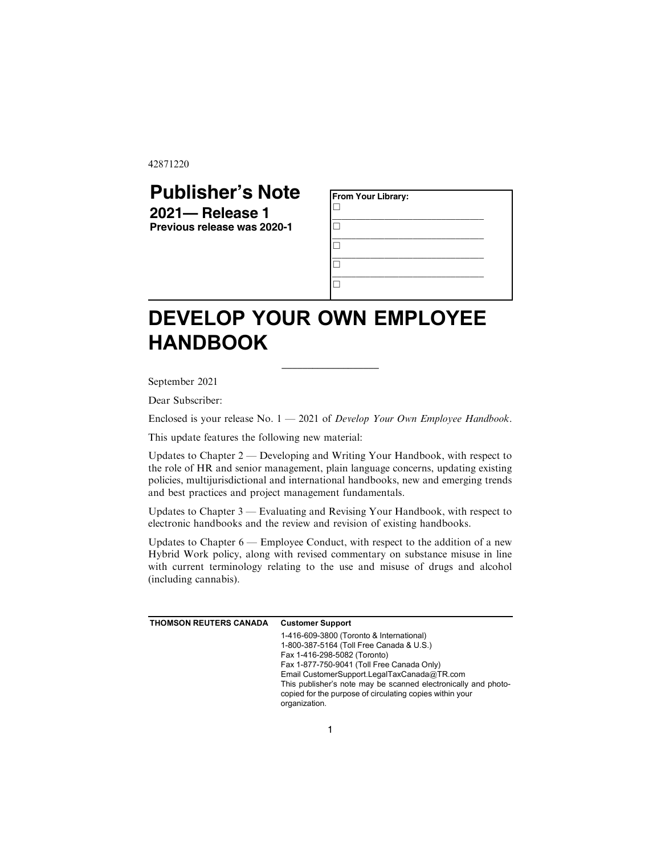42871220

## **Publisher's Note**

**2021— Release 1 Previous release was 2020-1**

| From Your Library: |  |  |  |
|--------------------|--|--|--|
|                    |  |  |  |
|                    |  |  |  |
|                    |  |  |  |
|                    |  |  |  |

## **DEVELOP YOUR OWN EMPLOYEE HANDBOOK**

September 2021

Dear Subscriber:

Enclosed is your release No.  $1 - 2021$  of Develop Your Own Employee Handbook.

\_\_\_\_\_\_\_\_\_\_\_\_\_\_\_\_\_\_\_

This update features the following new material:

Updates to Chapter 2 — Developing and Writing Your Handbook, with respect to the role of HR and senior management, plain language concerns, updating existing policies, multijurisdictional and international handbooks, new and emerging trends and best practices and project management fundamentals.

Updates to Chapter 3 — Evaluating and Revising Your Handbook, with respect to electronic handbooks and the review and revision of existing handbooks.

Updates to Chapter 6 — Employee Conduct, with respect to the addition of a new Hybrid Work policy, along with revised commentary on substance misuse in line with current terminology relating to the use and misuse of drugs and alcohol (including cannabis).

| THOMSON REUTERS CANADA | <b>Customer Support</b>                                                                                                                     |  |  |
|------------------------|---------------------------------------------------------------------------------------------------------------------------------------------|--|--|
|                        | 1-416-609-3800 (Toronto & International)                                                                                                    |  |  |
|                        | 1-800-387-5164 (Toll Free Canada & U.S.)                                                                                                    |  |  |
|                        | Fax 1-416-298-5082 (Toronto)                                                                                                                |  |  |
|                        | Fax 1-877-750-9041 (Toll Free Canada Only)                                                                                                  |  |  |
|                        | Email CustomerSupport.LegalTaxCanada@TR.com                                                                                                 |  |  |
|                        | This publisher's note may be scanned electronically and photo-<br>copied for the purpose of circulating copies within your<br>organization. |  |  |
|                        |                                                                                                                                             |  |  |